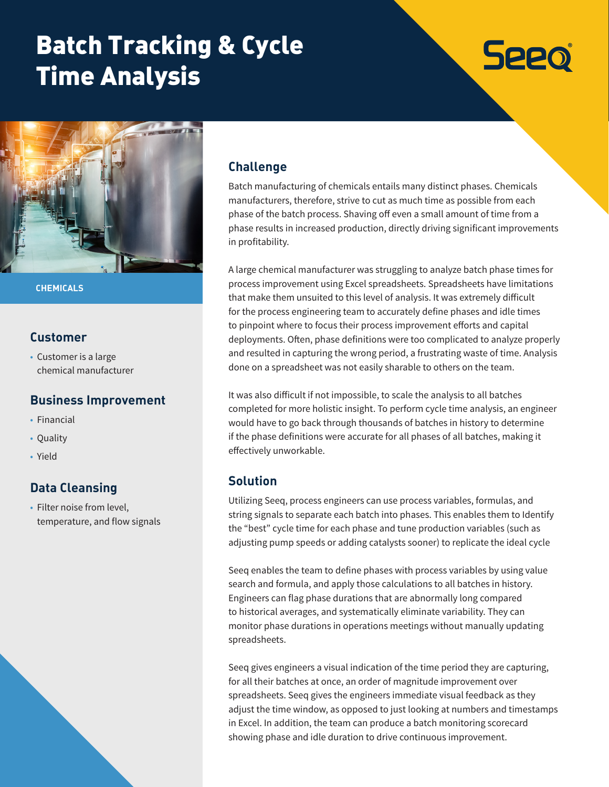## Batch Tracking & Cycle Time Analysis

# **Seeo**



**CHEMICALS**

#### **Customer**

• Customer is a large chemical manufacturer

#### **Business Improvement**

- Financial
- Quality
- Yield

#### **Data Cleansing**

• Filter noise from level, temperature, and flow signals

#### **Challenge**

Batch manufacturing of chemicals entails many distinct phases. Chemicals manufacturers, therefore, strive to cut as much time as possible from each phase of the batch process. Shaving off even a small amount of time from a phase results in increased production, directly driving significant improvements in profitability.

A large chemical manufacturer was struggling to analyze batch phase times for process improvement using Excel spreadsheets. Spreadsheets have limitations that make them unsuited to this level of analysis. It was extremely difficult for the process engineering team to accurately define phases and idle times to pinpoint where to focus their process improvement efforts and capital deployments. Often, phase definitions were too complicated to analyze properly and resulted in capturing the wrong period, a frustrating waste of time. Analysis done on a spreadsheet was not easily sharable to others on the team.

It was also difficult if not impossible, to scale the analysis to all batches completed for more holistic insight. To perform cycle time analysis, an engineer would have to go back through thousands of batches in history to determine if the phase definitions were accurate for all phases of all batches, making it effectively unworkable.

#### **Solution**

Utilizing Seeq, process engineers can use process variables, formulas, and string signals to separate each batch into phases. This enables them to Identify the "best" cycle time for each phase and tune production variables (such as adjusting pump speeds or adding catalysts sooner) to replicate the ideal cycle

Seeq enables the team to define phases with process variables by using value search and formula, and apply those calculations to all batches in history. Engineers can flag phase durations that are abnormally long compared to historical averages, and systematically eliminate variability. They can monitor phase durations in operations meetings without manually updating spreadsheets.

Seeq gives engineers a visual indication of the time period they are capturing, for all their batches at once, an order of magnitude improvement over spreadsheets. Seeq gives the engineers immediate visual feedback as they adjust the time window, as opposed to just looking at numbers and timestamps in Excel. In addition, the team can produce a batch monitoring scorecard showing phase and idle duration to drive continuous improvement.